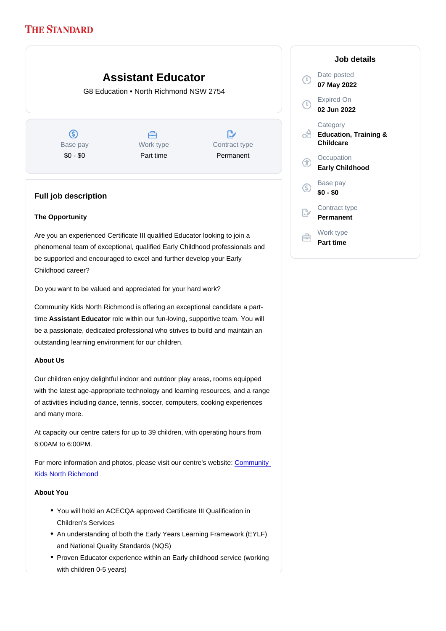## Assistant Educator

G8 Education • North Richmond NSW 2754

Base pay \$0 - \$0

Work type Part time

Contract type Permanent

## Full job description

The Opportunity

Are you an experienced Certificate III qualified Educator looking to join a phenomenal team of exceptional, qualified Early Childhood professionals and be supported and encouraged to excel and further develop your Early Childhood career?

Do you want to be valued and appreciated for your hard work?

Community Kids North Richmond is offering an exceptional candidate a parttime Assistant Educator role within our fun-loving, supportive team. You will be a passionate, dedicated professional who strives to build and maintain an outstanding learning environment for our children.

## About Us

Our children enjoy delightful indoor and outdoor play areas, rooms equipped with the latest age-appropriate technology and learning resources, and a range of activities including dance, tennis, soccer, computers, cooking experiences and many more.

At capacity our centre caters for up to 39 children, with operating hours from 6:00AM to 6:00PM.

For more information and photos, please visit our centre's website: [Community](https://www.communitykids.com.au/childcare-north-richmond/)  [Kids North Richmond](https://www.communitykids.com.au/childcare-north-richmond/)

About You

- You will hold an ACECQA approved Certificate III Qualification in Children's Services
- An understanding of both the Early Years Learning Framework (EYLF) and National Quality Standards (NQS)
- Proven Educator experience within an Early childhood service (working with children 0-5 years)

Job details

Date posted 07 May 2022

Expired On 02 Jun 2022

**Category** Education, Training & **Childcare** 

**Occupation** Early Childhood

Base pay \$0 - \$0

Contract type Permanent

Work type Part time